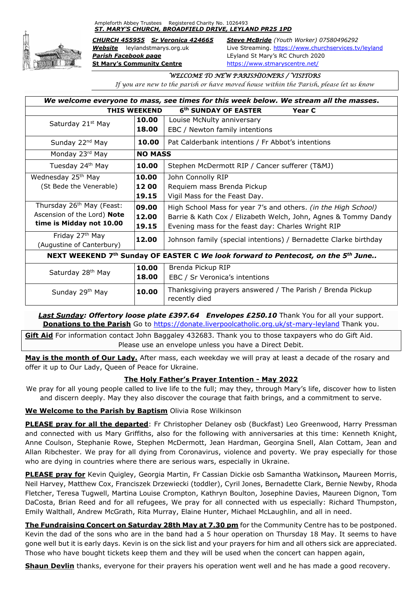Ampleforth Abbey Trustees Registered Charity No. 1026493 *ST. MARY'S CHURCH, BROADFIELD DRIVE, LEYLAND PR25 1PD*



*Parish Facebook page* LEyland St Mary's RC Church 2020 **St Mary's Community Centre** <https://www.stmaryscentre.net/>

*CHURCH 455955 Sr Veronica 424665 Steve McBride (Youth Worker) 07580496292 Website* leylandstmarys.org.uk Live Streaming.<https://www.churchservices.tv/leyland>

### *WELCOME TO NEW PARISHIONERS / VISITORS*

*If you are new to the parish or have moved house within the Parish, please let us know*

| We welcome everyone to mass, see times for this week below. We stream all the masses.         |                |                                                                             |
|-----------------------------------------------------------------------------------------------|----------------|-----------------------------------------------------------------------------|
| <b>THIS WEEKEND</b><br>6 <sup>th</sup> SUNDAY OF EASTER<br>Year C                             |                |                                                                             |
| Saturday 21 <sup>st</sup> May                                                                 | 10.00          | Louise McNulty anniversary                                                  |
|                                                                                               | 18.00          | EBC / Newton family intentions                                              |
| Sunday 22 <sup>nd</sup> May                                                                   | 10.00          | Pat Calderbank intentions / Fr Abbot's intentions                           |
| Monday 23rd May                                                                               | <b>NO MASS</b> |                                                                             |
| Tuesday 24 <sup>th</sup> May                                                                  | 10.00          | Stephen McDermott RIP / Cancer sufferer (T&MJ)                              |
| Wednesday 25 <sup>th</sup> May                                                                | 10.00          | John Connolly RIP                                                           |
| (St Bede the Venerable)                                                                       | 12 00          | Requiem mass Brenda Pickup                                                  |
|                                                                                               | 19.15          | Vigil Mass for the Feast Day.                                               |
| Thursday 26 <sup>th</sup> May (Feast:                                                         | 09.00          | High School Mass for year 7's and others. (in the High School)              |
| Ascension of the Lord) Note                                                                   | 12.00          | Barrie & Kath Cox / Elizabeth Welch, John, Agnes & Tommy Dandy              |
| time is Midday not 10.00                                                                      | 19.15          | Evening mass for the feast day: Charles Wright RIP                          |
| Friday 27 <sup>th</sup> May<br>(Augustine of Canterbury)                                      | 12.00          | Johnson family (special intentions) / Bernadette Clarke birthday            |
|                                                                                               |                |                                                                             |
| NEXT WEEKEND 7th Sunday OF EASTER C We look forward to Pentecost, on the 5 <sup>th</sup> June |                |                                                                             |
| Saturday 28 <sup>th</sup> May                                                                 | 10.00          | Brenda Pickup RIP                                                           |
|                                                                                               | 18.00          | EBC / Sr Veronica's intentions                                              |
| Sunday 29th May                                                                               | 10.00          | Thanksgiving prayers answered / The Parish / Brenda Pickup<br>recently died |

**Last Sunday: Offertory loose plate £397.64 Envelopes £250.10** Thank You for all your support. **Donations to the Parish** Go to<https://donate.liverpoolcatholic.org.uk/st-mary-leyland> Thank you.

**Gift Aid** For information contact John Baggaley 432683. Thank you to those taxpayers who do Gift Aid. Please use an envelope unless you have a Direct Debit.

**May is the month of Our Lady.** After mass, each weekday we will pray at least a decade of the rosary and offer it up to Our Lady, Queen of Peace for Ukraine.

# **The Holy Father's Prayer Intention - May 2022**

We pray for all young people called to live life to the full; may they, through Mary's life, discover how to listen and discern deeply. May they also discover the courage that faith brings, and a commitment to serve.

# **We Welcome to the Parish by Baptism** Olivia Rose Wilkinson

**PLEASE pray for all the departed**: Fr Christopher Delaney osb (Buckfast) Leo Greenwood, Harry Pressman and connected with us Mary Griffiths, also for the following with anniversaries at this time: Kenneth Knight, Anne Coulson, Stephanie Rowe, Stephen McDermott, Jean Hardman, Georgina Snell, Alan Cottam, Jean and Allan Ribchester. We pray for all dying from Coronavirus, violence and poverty. We pray especially for those who are dying in countries where there are serious wars, especially in Ukraine.

**PLEASE pray for** Kevin Quigley, Georgia Martin, Fr Cassian Dickie osb Samantha Watkinson**,** Maureen Morris, Neil Harvey, Matthew Cox, Franciszek Drzewiecki (toddler), Cyril Jones, Bernadette Clark, Bernie Newby, Rhoda Fletcher, Teresa Tugwell, Martina Louise Crompton, Kathryn Boulton, Josephine Davies, Maureen Dignon, Tom DaCosta, Brian Reed and for all refugees, We pray for all connected with us especially: Richard Thumpston, Emily Walthall, Andrew McGrath, Rita Murray, Elaine Hunter, Michael McLaughlin, and all in need.

**The Fundraising Concert on Saturday 28th May at 7.30 pm** for the Community Centre has to be postponed. Kevin the dad of the sons who are in the band had a 5 hour operation on Thursday 18 May. It seems to have gone well but it is early days. Kevin is on the sick list and your prayers for him and all others sick are appreciated. Those who have bought tickets keep them and they will be used when the concert can happen again,

**Shaun Devlin** thanks, everyone for their prayers his operation went well and he has made a good recovery.